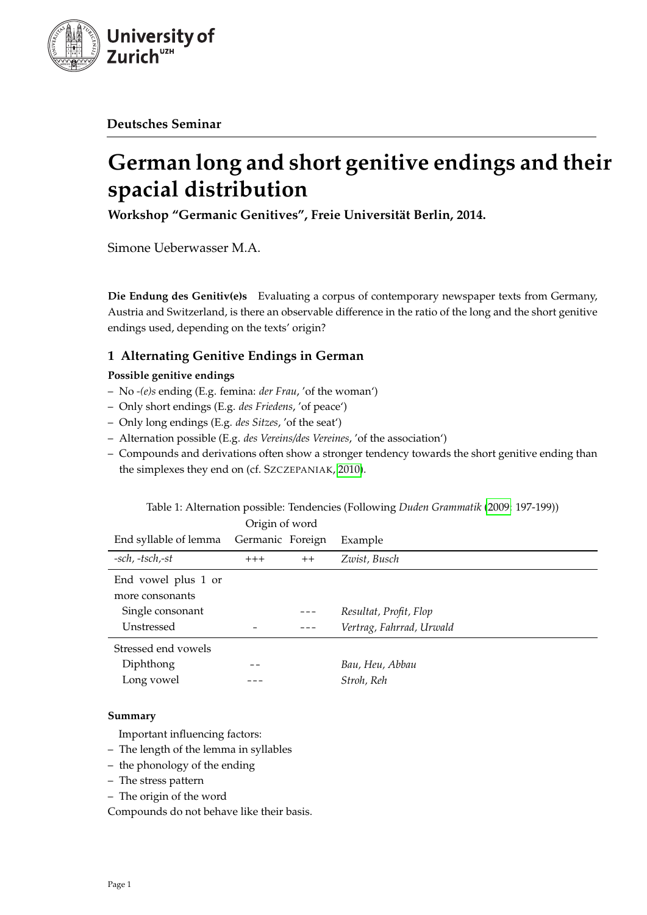

**Deutsches Seminar**

# **German long and short genitive endings and their spacial distribution**

**Workshop "Germanic Genitives", Freie Universität Berlin, 2014.**

Simone Ueberwasser M.A.

**Die Endung des Genitiv(e)s** Evaluating a corpus of contemporary newspaper texts from Germany, Austria and Switzerland, is there an observable difference in the ratio of the long and the short genitive endings used, depending on the texts' origin?

# **1 Alternating Genitive Endings in German**

# **Possible genitive endings**

- No *-(e)s* ending (E.g. femina: *der Frau*, 'of the woman')
- Only short endings (E.g. *des Friedens*, 'of peace')
- Only long endings (E.g. *des Sitzes*, 'of the seat')
- Alternation possible (E.g. *des Vereins/des Vereines*, 'of the association')
- Compounds and derivations often show a stronger tendency towards the short genitive ending than the simplexes they end on (cf. SZCZEPANIAK, [2010\)](#page-10-0).

|                       | Ungin of word    |      |                          |
|-----------------------|------------------|------|--------------------------|
| End syllable of lemma | Germanic Foreign |      | Example                  |
| -sch, -tsch,-st       | $+++$            | $++$ | Zwist, Busch             |
| End vowel plus 1 or   |                  |      |                          |
| more consonants       |                  |      |                          |
| Single consonant      |                  |      | Resultat, Profit, Flop   |
| Unstressed            |                  |      | Vertrag, Fahrrad, Urwald |
| Stressed end vowels   |                  |      |                          |
| Diphthong             |                  |      | Bau, Heu, Abbau          |
| Long vowel            |                  |      | Stroh, Reh               |
|                       |                  |      |                          |

Table 1: Alternation possible: Tendencies (Following *Duden Grammatik* [\(2009:](#page-10-1) 197-199))  $Q_{\text{min}}$  of word

# **Summary**

Important influencing factors:

- The length of the lemma in syllables
- the phonology of the ending
- The stress pattern
- The origin of the word

Compounds do not behave like their basis.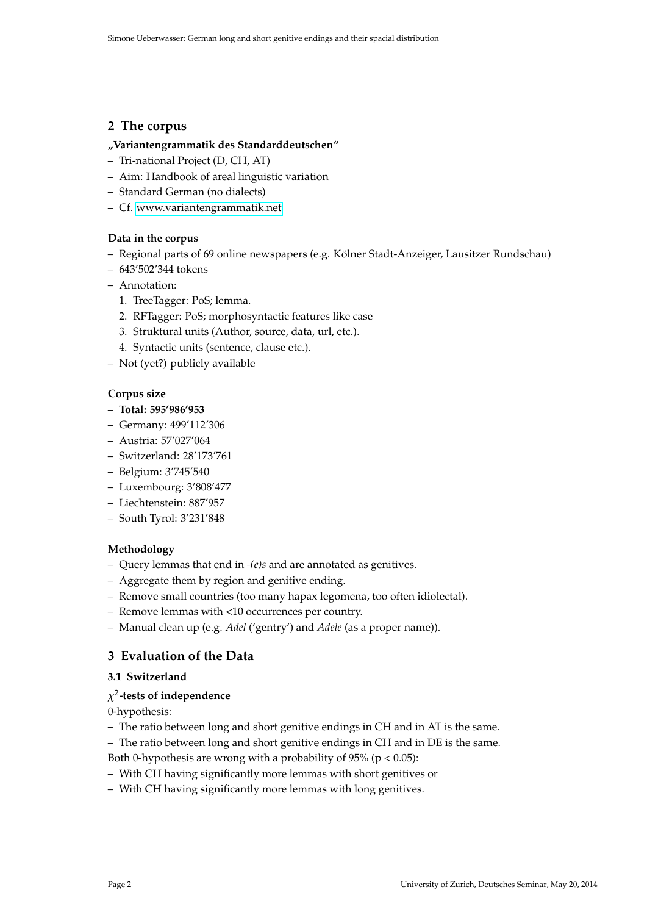# **2 The corpus**

#### **"Variantengrammatik des Standarddeutschen"**

- Tri-national Project (D, CH, AT)
- Aim: Handbook of areal linguistic variation
- Standard German (no dialects)
- Cf. [www.variantengrammatik.net](http://www.variantengrammatik.net)

#### **Data in the corpus**

- Regional parts of 69 online newspapers (e.g. Kölner Stadt-Anzeiger, Lausitzer Rundschau)
- 643'502'344 tokens
- Annotation:
	- 1. TreeTagger: PoS; lemma.
	- 2. RFTagger: PoS; morphosyntactic features like case
	- 3. Struktural units (Author, source, data, url, etc.).
	- 4. Syntactic units (sentence, clause etc.).
- Not (yet?) publicly available

#### **Corpus size**

- **Total: 595'986'953**
- Germany: 499'112'306
- Austria: 57'027'064
- Switzerland: 28'173'761
- Belgium: 3'745'540
- Luxembourg: 3'808'477
- Liechtenstein: 887'957
- South Tyrol: 3'231'848

#### **Methodology**

- Query lemmas that end in *-(e)s* and are annotated as genitives.
- Aggregate them by region and genitive ending.
- Remove small countries (too many hapax legomena, too often idiolectal).
- Remove lemmas with <10 occurrences per country.
- Manual clean up (e.g. *Adel* ('gentry') and *Adele* (as a proper name)).

# **3 Evaluation of the Data**

## **3.1 Switzerland**

# *χ* 2 **-tests of independence**

0-hypothesis:

- The ratio between long and short genitive endings in CH and in AT is the same.
- The ratio between long and short genitive endings in CH and in DE is the same.
- Both 0-hypothesis are wrong with a probability of  $95\%$  (p < 0.05):
- With CH having significantly more lemmas with short genitives or
- With CH having significantly more lemmas with long genitives.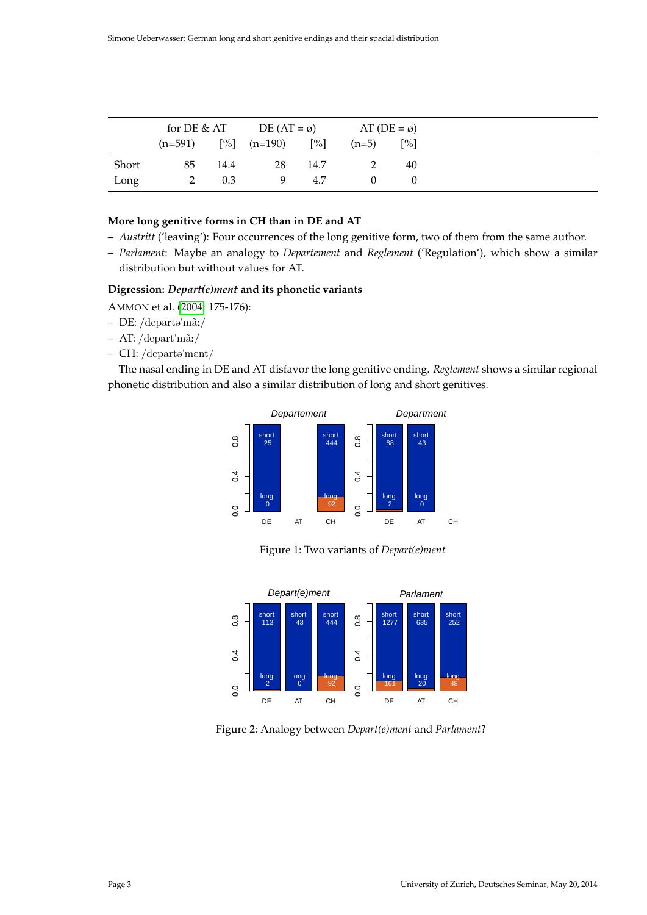|       | for DE & AT |      | DE $(AT = \emptyset)$ |                   | AT $(DE = \emptyset)$ |                   |
|-------|-------------|------|-----------------------|-------------------|-----------------------|-------------------|
|       | $(n=591)$   |      | $[\%]$ (n=190)        | $\lceil\% \rceil$ | $(n=5)$               | $\lceil\% \rceil$ |
| Short | 85          | 14.4 | 28                    | 14.7              |                       | 40                |
| Long  |             | 0.3  | -9                    | 4.7               |                       |                   |

# **More long genitive forms in CH than in DE and AT**

- *Austritt* ('leaving'): Four occurrences of the long genitive form, two of them from the same author.
- *Parlament*: Maybe an analogy to *Departement* and *Reglement* ('Regulation'), which show a similar distribution but without values for AT.

#### **Digression:** *Depart(e)ment* **and its phonetic variants**

AMMON et al. [\(2004:](#page-10-2) 175-176):

- $-$  DE: /departə $'m\tilde{a}$ :/
- $AT: /depart'm\tilde{a}$ :/
- $-$  CH: /departə $'ment/$

The nasal ending in DE and AT disfavor the long genitive ending. *Reglement* shows a similar regional phonetic distribution and also a similar distribution of long and short genitives.



Figure 1: Two variants of *Depart(e)ment*



Figure 2: Analogy between *Depart(e)ment* and *Parlament*?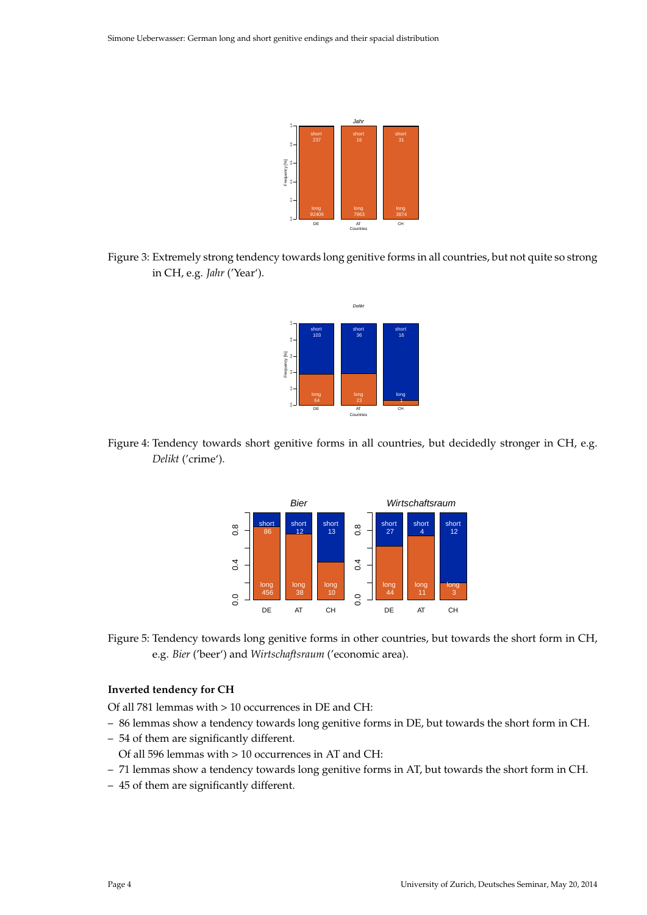

Figure 3: Extremely strong tendency towards long genitive forms in all countries, but not quite so strong in CH, e.g. *Jahr* ('Year').



Figure 4: Tendency towards short genitive forms in all countries, but decidedly stronger in CH, e.g. *Delikt* ('crime').



Figure 5: Tendency towards long genitive forms in other countries, but towards the short form in CH, e.g. *Bier* ('beer') and *Wirtschaftsraum* ('economic area).

## **Inverted tendency for CH**

Of all 781 lemmas with > 10 occurrences in DE and CH:

- 86 lemmas show a tendency towards long genitive forms in DE, but towards the short form in CH.
- 54 of them are significantly different.
- Of all 596 lemmas with > 10 occurrences in AT and CH:
- 71 lemmas show a tendency towards long genitive forms in AT, but towards the short form in CH.
- 45 of them are significantly different.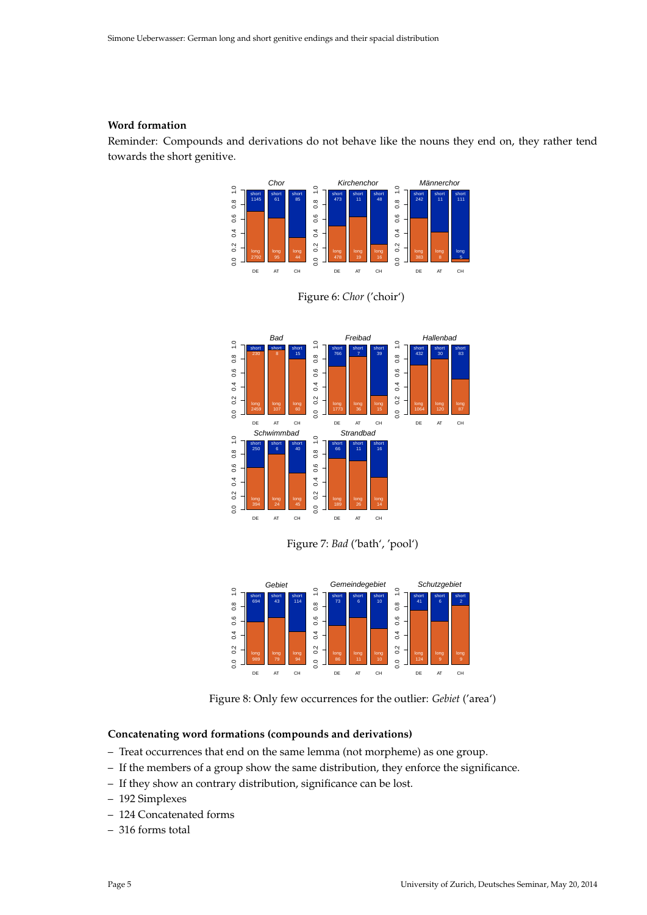#### **Word formation**

Reminder: Compounds and derivations do not behave like the nouns they end on, they rather tend towards the short genitive.









Figure 8: Only few occurrences for the outlier: *Gebiet* ('area')

#### **Concatenating word formations (compounds and derivations)**

- Treat occurrences that end on the same lemma (not morpheme) as one group.
- If the members of a group show the same distribution, they enforce the significance.
- If they show an contrary distribution, significance can be lost.
- 192 Simplexes
- 124 Concatenated forms
- 316 forms total

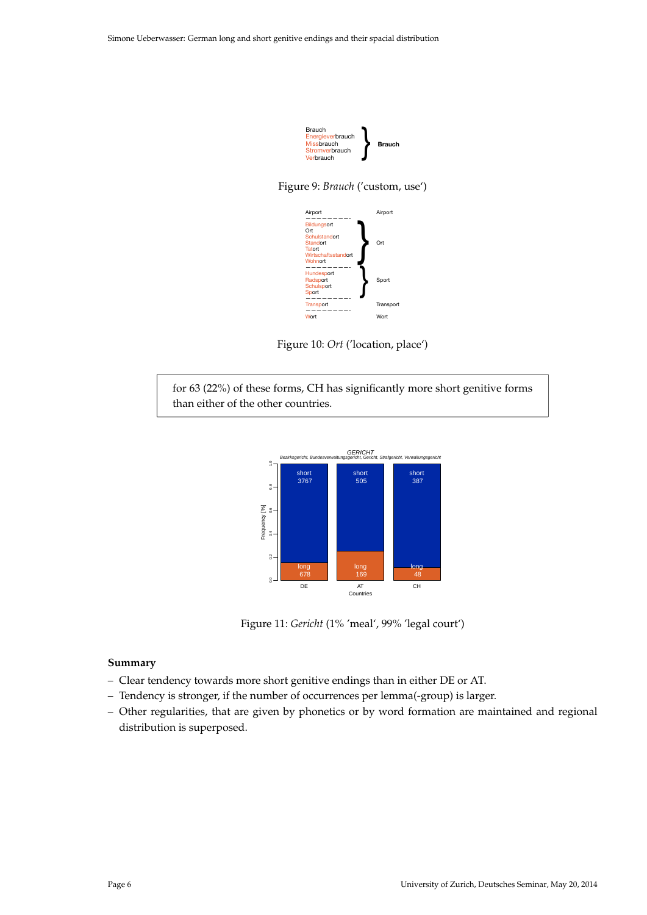

Figure 9: *Brauch* ('custom, use')



Figure 10: *Ort* ('location, place')

for 63 (22%) of these forms, CH has significantly more short genitive forms than either of the other countries.



Figure 11: *Gericht* (1% 'meal', 99% 'legal court')

#### **Summary**

- Clear tendency towards more short genitive endings than in either DE or AT.
- Tendency is stronger, if the number of occurrences per lemma(-group) is larger.
- Other regularities, that are given by phonetics or by word formation are maintained and regional distribution is superposed.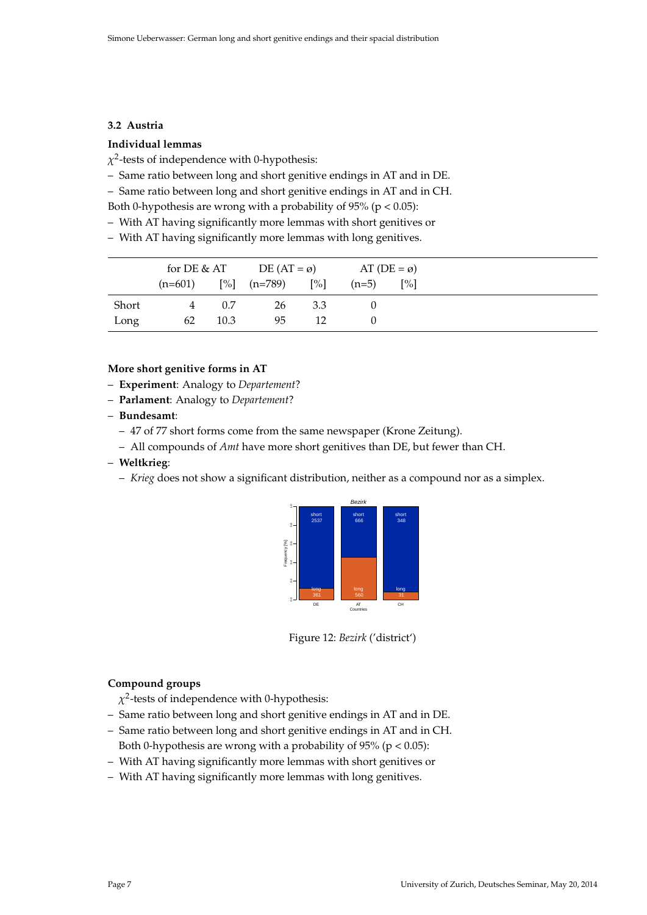#### **3.2 Austria**

# **Individual lemmas**

*χ* 2 -tests of independence with 0-hypothesis:

- Same ratio between long and short genitive endings in AT and in DE.
- Same ratio between long and short genitive endings in AT and in CH.
- Both 0-hypothesis are wrong with a probability of  $95\%$  (p < 0.05):
- With AT having significantly more lemmas with short genitives or
- With AT having significantly more lemmas with long genitives.

|       | for DE & AT    |      | DE $(AT = \emptyset)$ |                   | AT ( $DE = \emptyset$ ) |                   |
|-------|----------------|------|-----------------------|-------------------|-------------------------|-------------------|
|       | $(n=601)$      |      | $[\%]$ (n=789)        | $\lceil\% \rceil$ | $(n=5)$                 | $\lceil\% \rceil$ |
| Short | $\overline{4}$ | 0.7  | 26                    | 3.3               |                         |                   |
| Long  | 62             | 10.3 | 95                    | 12                |                         |                   |

#### **More short genitive forms in AT**

- **Experiment**: Analogy to *Departement*?
- **Parlament**: Analogy to *Departement*?
- **Bundesamt**:
	- 47 of 77 short forms come from the same newspaper (Krone Zeitung).
	- All compounds of *Amt* have more short genitives than DE, but fewer than CH.
- **Weltkrieg**:
	- *Krieg* does not show a significant distribution, neither as a compound nor as a simplex.



Figure 12: *Bezirk* ('district')

# **Compound groups**

- *χ* 2 -tests of independence with 0-hypothesis:
- Same ratio between long and short genitive endings in AT and in DE.
- Same ratio between long and short genitive endings in AT and in CH. Both 0-hypothesis are wrong with a probability of  $95\%$  (p < 0.05):
- With AT having significantly more lemmas with short genitives or
- With AT having significantly more lemmas with long genitives.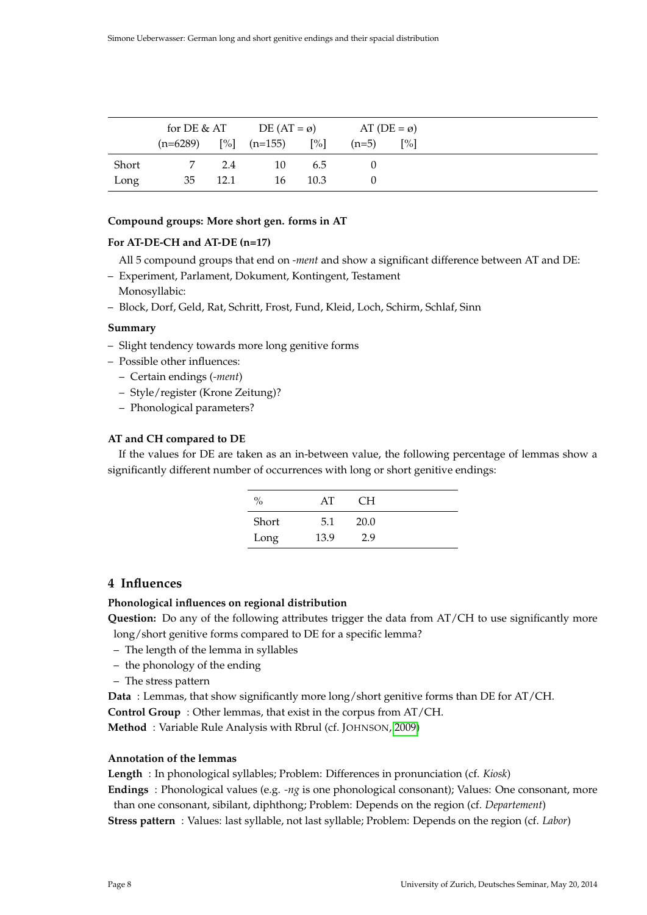|       | for DE & AT              |      | DE $(AT = \emptyset)$ |                   | AT (DE = $\varnothing$ ) |                   |
|-------|--------------------------|------|-----------------------|-------------------|--------------------------|-------------------|
|       | $(n=6289)$ [%] $(n=155)$ |      |                       | $\lceil\% \rceil$ | $(n=5)$                  | $\lceil\% \rceil$ |
| Short |                          | 2.4  | 10                    | 6.5               |                          |                   |
| Long  | 35                       | 12.1 | 16                    | 10.3              |                          |                   |

#### **Compound groups: More short gen. forms in AT**

## **For AT-DE-CH and AT-DE (n=17)**

- All 5 compound groups that end on *-ment* and show a significant difference between AT and DE:
- Experiment, Parlament, Dokument, Kontingent, Testament Monosyllabic:
- Block, Dorf, Geld, Rat, Schritt, Frost, Fund, Kleid, Loch, Schirm, Schlaf, Sinn

#### **Summary**

- Slight tendency towards more long genitive forms
- Possible other influences:
	- Certain endings (*-ment*)
	- Style/register (Krone Zeitung)?
	- Phonological parameters?

## **AT and CH compared to DE**

If the values for DE are taken as an in-between value, the following percentage of lemmas show a significantly different number of occurrences with long or short genitive endings:

| $\%$  | AT   | CН   |  |
|-------|------|------|--|
| Short | 5.1  | 20.0 |  |
| Long  | 13.9 | 2.9  |  |

# **4 Influences**

#### **Phonological influences on regional distribution**

**Question:** Do any of the following attributes trigger the data from AT/CH to use significantly more long/short genitive forms compared to DE for a specific lemma?

- The length of the lemma in syllables
- the phonology of the ending
- The stress pattern

**Data** : Lemmas, that show significantly more long/short genitive forms than DE for AT/CH.

**Control Group** : Other lemmas, that exist in the corpus from AT/CH.

**Method** : Variable Rule Analysis with Rbrul (cf. JOHNSON, [2009\)](#page-10-3)

#### **Annotation of the lemmas**

**Length** : In phonological syllables; Problem: Differences in pronunciation (cf. *Kiosk*)

**Endings** : Phonological values (e.g. *-ng* is one phonological consonant); Values: One consonant, more than one consonant, sibilant, diphthong; Problem: Depends on the region (cf. *Departement*) **Stress pattern** : Values: last syllable, not last syllable; Problem: Depends on the region (cf. *Labor*)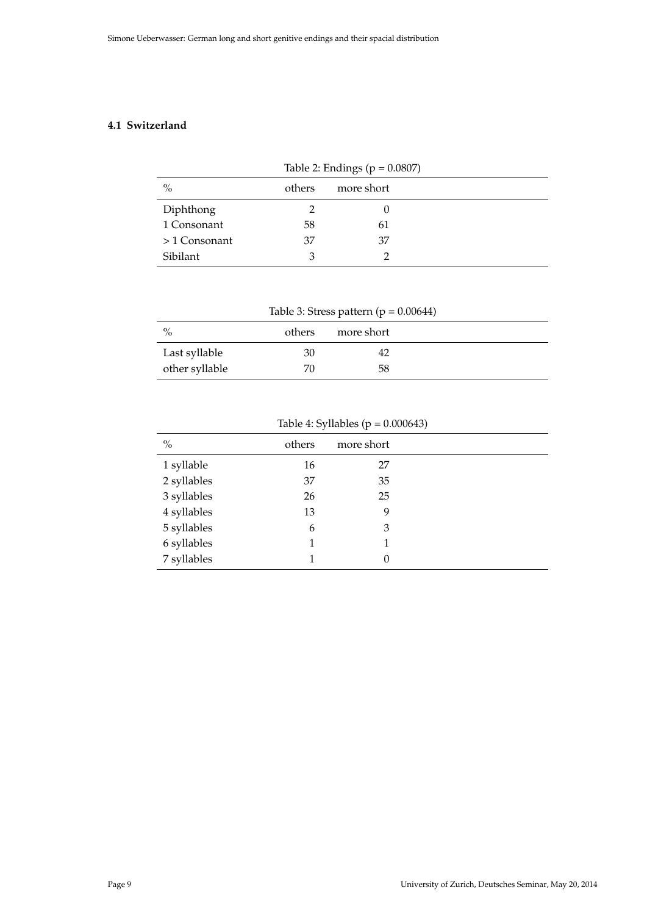# **4.1 Switzerland**

| Table 2: Endings ( $p = 0.0807$ ) |        |            |  |  |  |
|-----------------------------------|--------|------------|--|--|--|
| $\frac{0}{0}$                     | others | more short |  |  |  |
| Diphthong                         |        |            |  |  |  |
| 1 Consonant                       | 58     | 61         |  |  |  |
| $>1$ Consonant                    | 37     | 37         |  |  |  |
| Sibilant                          | 3      |            |  |  |  |

| Table 3: Stress pattern ( $p = 0.00644$ ) |        |            |  |  |  |  |
|-------------------------------------------|--------|------------|--|--|--|--|
| $\%$                                      | others | more short |  |  |  |  |
| Last syllable                             | 30     |            |  |  |  |  |
| other syllable                            | 70     | 58         |  |  |  |  |

|               | ------ -- - <i>-</i> ----- --- \r |            |  |  |  |  |
|---------------|-----------------------------------|------------|--|--|--|--|
| $\frac{0}{0}$ | others                            | more short |  |  |  |  |
| 1 syllable    | 16                                | 27         |  |  |  |  |
| 2 syllables   | 37                                | 35         |  |  |  |  |
| 3 syllables   | 26                                | 25         |  |  |  |  |
| 4 syllables   | 13                                | 9          |  |  |  |  |
| 5 syllables   | 6                                 | 3          |  |  |  |  |
| 6 syllables   |                                   |            |  |  |  |  |
| 7 syllables   |                                   |            |  |  |  |  |

Table 4: Syllables ( $p = 0.000643$ )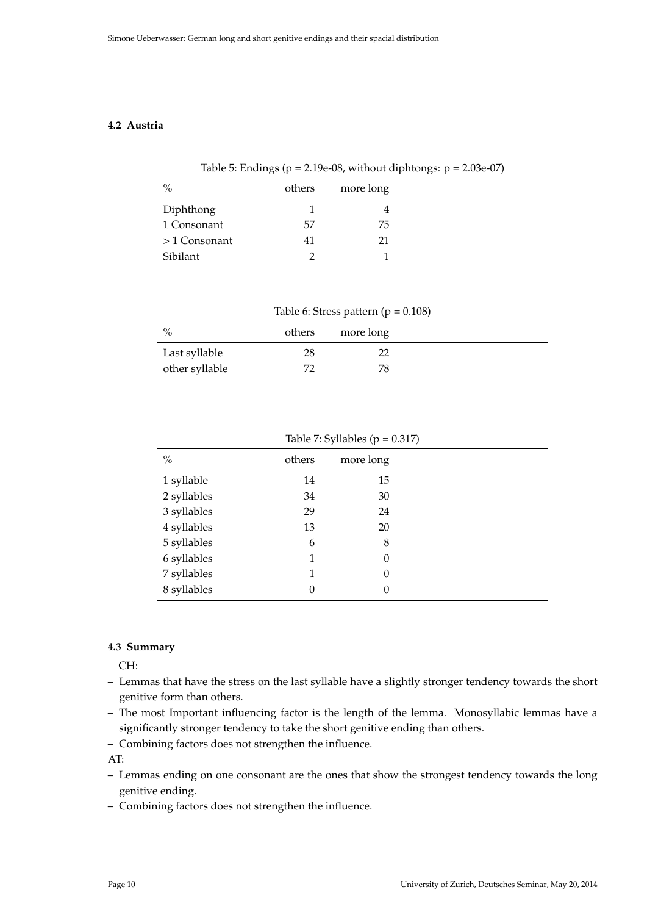# **4.2 Austria**

| Table 5: Endings ( $p = 2.19e-08$ , without diphtongs: $p = 2.03e-07$ ) |  |  |
|-------------------------------------------------------------------------|--|--|
|-------------------------------------------------------------------------|--|--|

| $\%$           | others | more long |
|----------------|--------|-----------|
| Diphthong      |        |           |
| 1 Consonant    | 57     | 75        |
| $>1$ Consonant | 41     | 21        |
| Sibilant       |        |           |

| Table 6: Stress pattern ( $p = 0.108$ ) |        |           |  |  |  |
|-----------------------------------------|--------|-----------|--|--|--|
| $\%$                                    | others | more long |  |  |  |
| Last syllable                           | 28     | 77        |  |  |  |
| other syllable                          |        | 78        |  |  |  |

| $\frac{0}{0}$ | others | more long |  |
|---------------|--------|-----------|--|
| 1 syllable    | 14     | 15        |  |
| 2 syllables   | 34     | 30        |  |
| 3 syllables   | 29     | 24        |  |
| 4 syllables   | 13     | 20        |  |
| 5 syllables   | 6      | 8         |  |
| 6 syllables   | 1      | $\theta$  |  |
| 7 syllables   | 1      | $\theta$  |  |
| 8 syllables   | 0      | 0         |  |
|               |        |           |  |

Table 7: Syllables ( $p = 0.317$ )

# **4.3 Summary**

CH:

- Lemmas that have the stress on the last syllable have a slightly stronger tendency towards the short genitive form than others.
- The most Important influencing factor is the length of the lemma. Monosyllabic lemmas have a significantly stronger tendency to take the short genitive ending than others.
- Combining factors does not strengthen the influence.

AT:

- Lemmas ending on one consonant are the ones that show the strongest tendency towards the long genitive ending.
- Combining factors does not strengthen the influence.